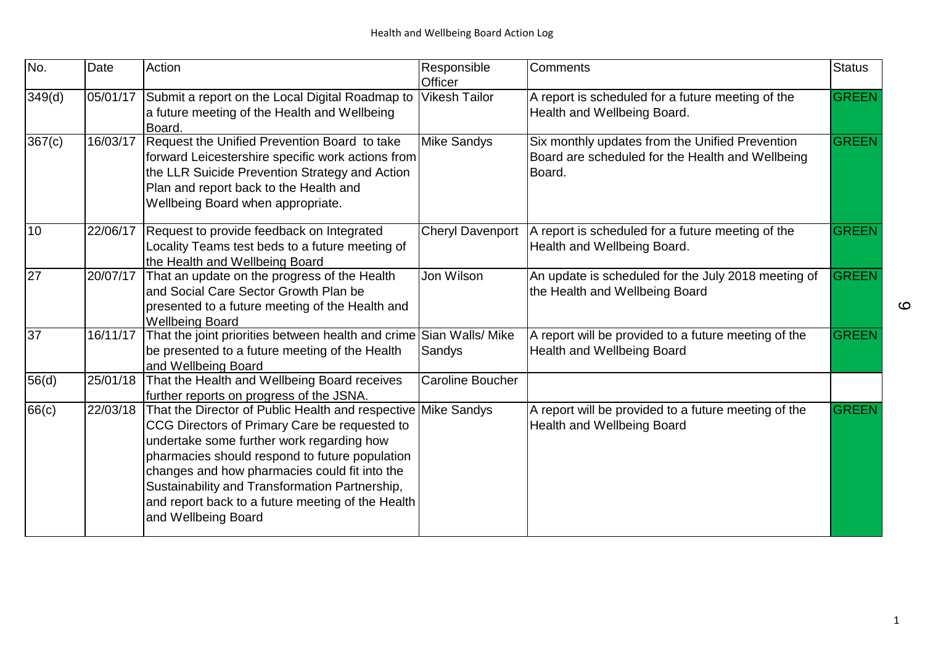| No.             | Date     | Action                                                                                                                                                                                                                                                                                                                                                                           | Responsible<br>Officer  | Comments                                                                                                      | <b>Status</b> |
|-----------------|----------|----------------------------------------------------------------------------------------------------------------------------------------------------------------------------------------------------------------------------------------------------------------------------------------------------------------------------------------------------------------------------------|-------------------------|---------------------------------------------------------------------------------------------------------------|---------------|
| 349(d)          | 05/01/17 | Submit a report on the Local Digital Roadmap to<br>a future meeting of the Health and Wellbeing<br>Board.                                                                                                                                                                                                                                                                        | <b>Vikesh Tailor</b>    | A report is scheduled for a future meeting of the<br>Health and Wellbeing Board.                              | <b>GREEN</b>  |
| 367(c)          | 16/03/17 | Request the Unified Prevention Board to take<br>forward Leicestershire specific work actions from<br>the LLR Suicide Prevention Strategy and Action<br>Plan and report back to the Health and<br>Wellbeing Board when appropriate.                                                                                                                                               | <b>Mike Sandys</b>      | Six monthly updates from the Unified Prevention<br>Board are scheduled for the Health and Wellbeing<br>Board. | <b>GREEN</b>  |
| 10              | 22/06/17 | Request to provide feedback on Integrated<br>Locality Teams test beds to a future meeting of<br>the Health and Wellbeing Board                                                                                                                                                                                                                                                   | <b>Cheryl Davenport</b> | A report is scheduled for a future meeting of the<br>Health and Wellbeing Board.                              | <b>GREEN</b>  |
| 27              | 20/07/17 | That an update on the progress of the Health<br>land Social Care Sector Growth Plan be<br>presented to a future meeting of the Health and<br><b>Wellbeing Board</b>                                                                                                                                                                                                              | Jon Wilson              | An update is scheduled for the July 2018 meeting of<br>the Health and Wellbeing Board                         | <b>GREEN</b>  |
| $\overline{37}$ | 16/11/17 | That the joint priorities between health and crime Sian Walls/ Mike<br>be presented to a future meeting of the Health<br>and Wellbeing Board                                                                                                                                                                                                                                     | Sandys                  | A report will be provided to a future meeting of the<br>Health and Wellbeing Board                            | GREEN         |
| 56(d)           | 25/01/18 | That the Health and Wellbeing Board receives<br>further reports on progress of the JSNA.                                                                                                                                                                                                                                                                                         | <b>Caroline Boucher</b> |                                                                                                               |               |
| 66(c)           | 22/03/18 | That the Director of Public Health and respective<br>CCG Directors of Primary Care be requested to<br>undertake some further work regarding how<br>pharmacies should respond to future population<br>changes and how pharmacies could fit into the<br>Sustainability and Transformation Partnership,<br>and report back to a future meeting of the Health<br>and Wellbeing Board | <b>Mike Sandys</b>      | A report will be provided to a future meeting of the<br>Health and Wellbeing Board                            | <b>GREEN</b>  |

 $\mathbf{\Omega}$